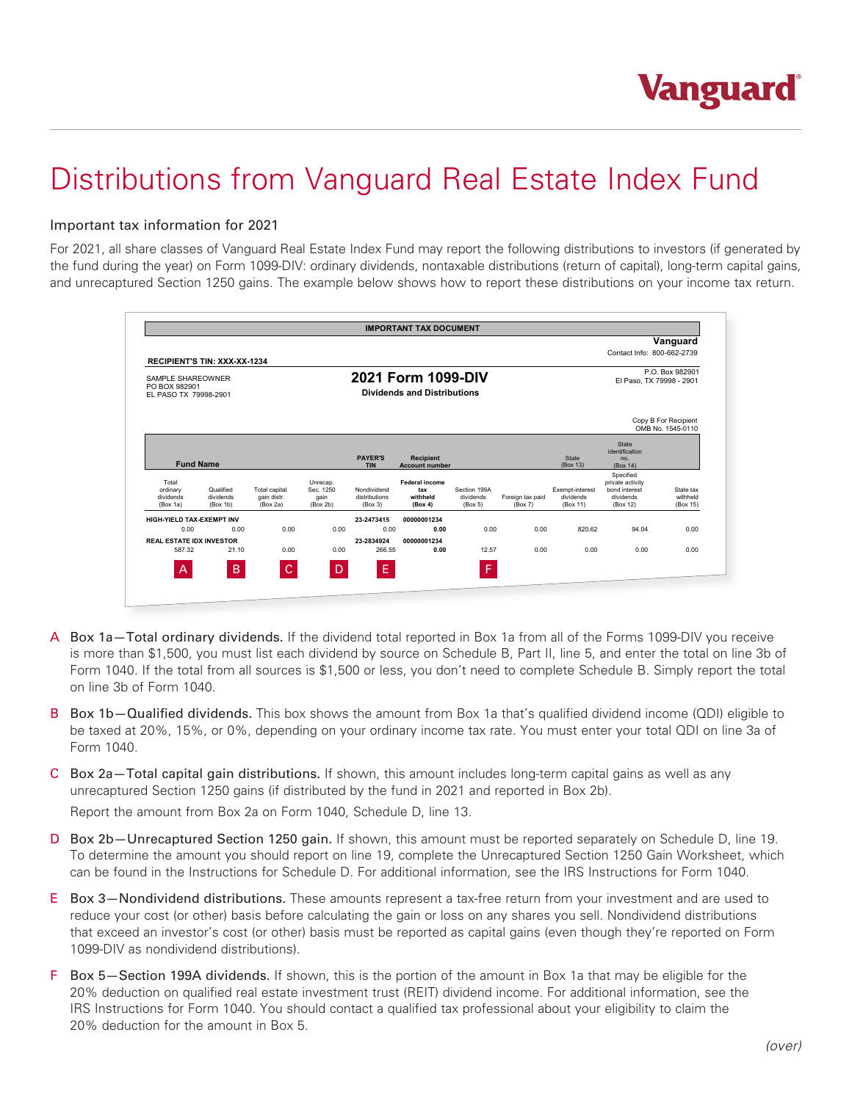## Distributions from Vanguard Real Estate Index Fund

## Important tax information for 2021

For 2021, all share classes of Vanguard Real Estate Index Fund may report the following distributions to investors (if generated by the fund during the year) on Form 1099-DIV: ordinary dividends, nontaxable distributions (return of capital), long-term capital gains, and unrecaptured Section 1250 gains. The example below shows how to report these distributions on your income tax return.

|                                                             |                        |                                                          |                   |                              | <b>IMPORTANT TAX DOCUMENT</b> |                           |                                             |                              |                                       |                                           |
|-------------------------------------------------------------|------------------------|----------------------------------------------------------|-------------------|------------------------------|-------------------------------|---------------------------|---------------------------------------------|------------------------------|---------------------------------------|-------------------------------------------|
|                                                             |                        |                                                          |                   |                              |                               |                           |                                             |                              |                                       | Vanguard                                  |
| <b>RECIPIENT'S TIN: XXX-XX-1234</b>                         |                        |                                                          |                   |                              |                               |                           |                                             |                              | Contact Info: 800-662-2739            |                                           |
| SAMPLE SHAREOWNER<br>PO BOX 982901<br>EL PASO TX 79998-2901 |                        | 2021 Form 1099-DIV<br><b>Dividends and Distributions</b> |                   |                              |                               |                           | P.O. Box 982901<br>El Paso, TX 79998 - 2901 |                              |                                       |                                           |
|                                                             |                        |                                                          |                   |                              |                               |                           |                                             |                              |                                       | Copy B For Recipient<br>OMB No. 1545-0110 |
|                                                             |                        |                                                          |                   | <b>PAYER'S</b>               | <b>Recipient</b>              |                           |                                             | <b>State</b>                 | <b>State</b><br>identification<br>no. |                                           |
| <b>Fund Name</b>                                            |                        |                                                          |                   | <b>TIN</b>                   | <b>Account number</b>         |                           |                                             | (Box 13)                     | (Box 14)<br>Specified                 |                                           |
| Total                                                       |                        |                                                          | Unrecap.          |                              | Federal income                |                           |                                             |                              | private activity                      |                                           |
| ordinary<br>dividends                                       | Qualified<br>dividends | Total capital<br>gain distr.                             | Sec. 1250<br>gain | Nondividend<br>distributions | tax<br>withheld               | Section 199A<br>dividends | Foreign tax paid                            | Exempt-interest<br>dividends | bond interest<br>dividends            | State tax<br>withheld                     |
| (Box 1a)                                                    | (Box 1b)               | (Box 2a)                                                 | (Box 2b)          | (Box 3)                      | (Box 4)                       | (Box 5)                   | (Box 7)                                     | (Box 11)                     | (Box 12)                              | (Box 15)                                  |
| HIGH-YIELD TAX-EXEMPT INV                                   |                        |                                                          |                   | 23-2473415                   | 00000001234                   |                           |                                             |                              |                                       |                                           |
| 0.00                                                        | 0.00                   | 0.00                                                     | 0.00              | 0.00                         | 0.00                          | 0.00                      | 0.00                                        | 820.62                       | 94.04                                 | 0.00                                      |
| <b>REAL ESTATE IDX INVESTOR</b>                             |                        |                                                          |                   | 23-2834924                   | 00000001234                   |                           |                                             |                              |                                       |                                           |
| 587.32                                                      | 21.10                  | 0.00                                                     | 0.00              | 266.55                       | 0.00                          | 12.57                     | 0.00                                        | 0.00                         | 0.00                                  | 0.00                                      |
|                                                             |                        |                                                          |                   |                              |                               |                           |                                             |                              |                                       |                                           |
| A                                                           | B                      | C                                                        | D                 | E.                           |                               | F                         |                                             |                              |                                       |                                           |

- A Box 1a—Total ordinary dividends. If the dividend total reported in Box 1a from all of the Forms 1099-DIV you receive is more than \$1,500, you must list each dividend by source on Schedule B, Part II, line 5, and enter the total on line 3b of Form 1040. If the total from all sources is \$1,500 or less, you don't need to complete Schedule B. Simply report the total on line 3b of Form 1040.
- B Box 1b-Qualified dividends. This box shows the amount from Box 1a that's qualified dividend income (QDI) eligible to be taxed at 20%, 15%, or 0%, depending on your ordinary income tax rate. You must enter your total QDI on line 3a of Form 1040.
- C Box 2a—Total capital gain distributions. If shown, this amount includes long-term capital gains as well as any unrecaptured Section 1250 gains (if distributed by the fund in 2021 and reported in Box 2b).

Report the amount from Box 2a on Form 1040, Schedule D, line 13.

- D Box 2b—Unrecaptured Section 1250 gain. If shown, this amount must be reported separately on Schedule D, line 19. To determine the amount you should report on line 19, complete the Unrecaptured Section 1250 Gain Worksheet, which can be found in the Instructions for Schedule D. For additional information, see the IRS Instructions for Form 1040.
- E Box 3—Nondividend distributions. These amounts represent a tax-free return from your investment and are used to reduce your cost (or other) basis before calculating the gain or loss on any shares you sell. Nondividend distributions that exceed an investor's cost (or other) basis must be reported as capital gains (even though they're reported on Form 1099-DIV as nondividend distributions).
- F Box 5—Section 199A dividends. If shown, this is the portion of the amount in Box 1a that may be eligible for the 20% deduction on qualified real estate investment trust (REIT) dividend income. For additional information, see the IRS Instructions for Form 1040. You should contact a qualified tax professional about your eligibility to claim the 20% deduction for the amount in Box 5.